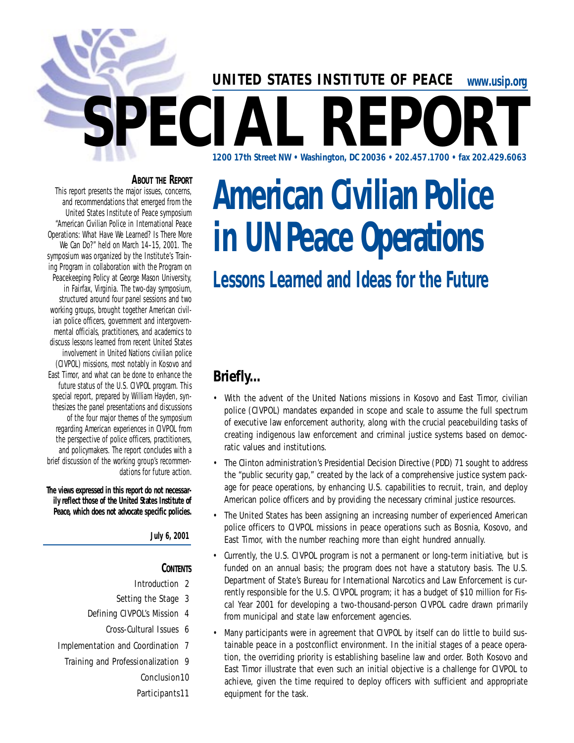# www.usip.org **SPEC I.A. REPORT 1200 17th Street NW • Washington, DC 20036 • 202.457.1700 • fax 202.429.6063 UNITED STATES INSTITUTE OF PEACE**

### **ABOUT THE REPORT**

This report presents the major issues, concerns, and recommendations that emerged from the United States Institute of Peace symposium "American Civilian Police in International Peace Operations: What Have We Learned? Is There More We Can Do?" held on March 14–15, 2001. The symposium was organized by the Institute's Training Program in collaboration with the Program on Peacekeeping Policy at George Mason University, in Fairfax, Virginia. The two-day symposium, structured around four panel sessions and two working groups, brought together American civilian police officers, government and intergovernmental officials, practitioners, and academics to discuss lessons learned from recent United States involvement in United Nations civilian police (CIVPOL) missions, most notably in Kosovo and East Timor, and what can be done to enhance the future status of the U.S. CIVPOL program. This special report, prepared by William Hayden, synthesizes the panel presentations and discussions of the four major themes of the symposium regarding American experiences in CIVPOL from the perspective of police officers, practitioners, and policy makers. The report concludes with a brief discussion of the working group's recommendations for future action

The views expressed in this report do not necessar**ily reflect those of the United States Institute of** Peace, which does not advocate specific policies.

**July 6, 2001**

#### **CONTENTS**

- Introduction 2
- Setting the Stage 3
- Defining CIVPOL's Mission 4
	- Cross-Cultural Issues 6
- Implementation and Coordination 7
	- Training and Professionalization 9

#### Conclusion10

Participants11

# **American Civilian Police in UN Peace Operations**

# **Lessons Learned and Ideas for the Future**

# **Briefly...**

- With the advent of the United Nations missions in Kosovo and East Timor, civilian police (CIVPOL) mandates expanded in scope and scale to assume the full spectrum of executive law enforcement authority, along with the crucial peacebuilding tasks of creating indigenous law enforcement and criminal justice systems based on democratic values and institutions.
- The Clinton administration's Presidential Decision Directive (PDD) 71 sought to address the "public security gap," created by the lack of a comprehensive justice system package for peace operations, by enhancing U.S. capabilities to recruit, train, and deploy American police officers and by providing the necessary criminal justice resources.
- The United States has been assigning an increasing number of experienced American police officers to CIVPOL missions in peace operations such as Bosnia, Kosovo, and East Timor, with the number reaching more than eight hundred annually.
- Currently, the U.S. CIVPOL program is not a permanent or long-term initiative, but is funded on an annual basis; the program does not have a statutory basis. The U.S. Department of State's Bureau for International Narcotics and Law Enforcement is currently responsible for the U.S. CIVPOL program; it has a budget of \$10 million for Fiscal Year 2001 for developing a two-thousand-person CIVPOL cadre drawn primarily from municipal and state law enforcement agencies.
- Many participants were in agreement that CIVPOL by itself can do little to build sustainable peace in a postconflict environment. In the initial stages of a peace operation, the overriding priority is establishing baseline law and order. Both Kosovo and East Timor illustrate that even such an initial objective is a challenge for CIVPOL to achieve, given the time required to deploy officers with sufficient and appropriate equipment for the task.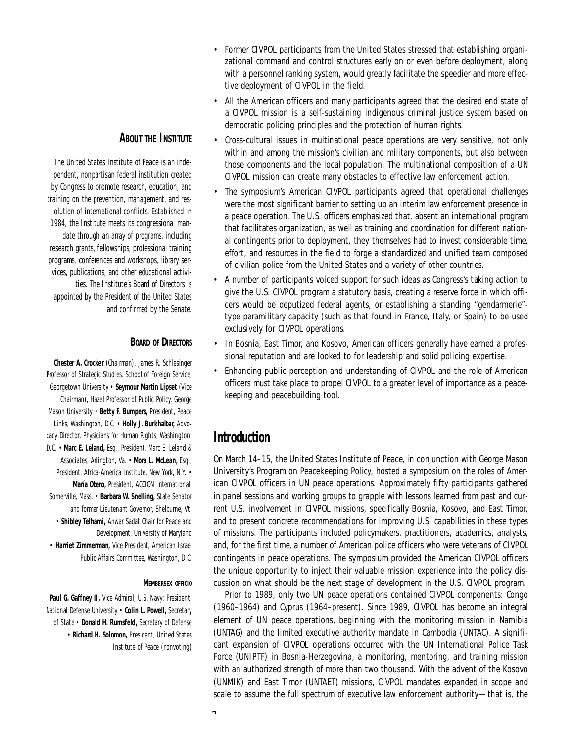#### **ABOUT THE INSTITUTE**

The United States Institute of Peace is an independent, nonpartisan federal institution created by Congress to promote research, education, and training on the prevention, management, and resolution of international conflicts. Established in 1984, the Institute meets its congressional mandate through an array of programs, including research grants, fellowships, professional training programs, conferences and workshops, library services, publications, and other educational activities. The Institute's Board of Directors is appointed by the President of the United States and confirmed by the Senate.

#### **BOARD OF DIRECTORS**

**Chester A. Crocker** (Chairman), James R. Schlesinger Professor of Strategic Studies, School of Foreign Service, Georgetown University • Seymour Martin Lipset (Vice Chairman), Hazel Professor of Public Policy, George Mason University • Betty F. Bumpers, President, Peace Links, Washington, D.C. • Holly J. Burkhalter, Advocacy Director, Physicians for Human Rights, Washington, D.C. • Marc E. Leland, Esq., President, Marc E. Leland & Associates, Arlington, Va. • Mora L. McLean, Esq., President, Africa-America Institute, New York, N.Y. • María Otero, President, ACCION International, Somerville, Mass. • Barbara W. Snelling, State Senator and former Lieutenant Governor, Shelburne, Vt. • Shibley Telhami, Anwar Sadat Chair for Peace and Development, University of Maryland • Harriet Zimmerman, Vice President, American Israel Public Affairs Committee, Washington, D.C.

#### **MEMBERSEX OFFICIO**

 $\lambda$ 

Paul G. Gaffney II, Vice Admiral, U.S. Navy; President, National Defense University . Colin L. Powell, Secretary of State • Donald H. Rumsfeld, Secretary of Defense • Richard H. Solomon, President, United States Institute of Peace (nonvoting)

- Former CIVPOL participants from the United States stressed that establishing organizational command and control structures early on or even before deployment, along with a personnel ranking system, would greatly facilitate the speedier and more effective deployment of CIVPOL in the field.
- All the American officers and many participants agreed that the desired end state of a CIVPOL mission is a self-sustaining indigenous criminal justice system based on de mocratic policing principles and the protection of human rights.
- Cross-cultural issues in multinational peace operations are very sensitive, not only within and among the mission's civilian and military components, but also between those components and the local population. The multinational composition of a UN CIVPOL mission can create many obstacles to effective law enforcement action.
- The symposium's American CIVPOL participants agreed that operational challenges were the most significant barrier to setting up an interim law enforcement presence in a peace operation. The U.S. officers emphasized that, absent an international program that facilitates organization, as well as training and coordination for different national contingents prior to deployment, they themselves had to invest considerable time, effort, and resources in the field to forge a standardized and unified team composed of civilian police from the United States and a variety of other countries.
- A number of participants voiced support for such ideas as Congress's taking action to give the U.S. CIVPOL program a statutory basis, creating a reserve force in which of ficers would be deputized federal agents, or establishing a standing "gendarmerie"type paramilitary capacity (such as that found in France, Italy, or Spain) to be used exclusively for CIVPOL operations.
- In Bosnia, East Timor, and Kosovo, American officers generally have earned a professional reputation and are looked to for leadership and solid policing expertise.
- Enhancing public perception and understanding of CIVPOL and the role of American officers must take place to propel CIVPOL to a greater level of importance as a peacekeeping and peacebuilding tool.

# **Introduction**

On March 14–15, the United States Institute of Peace, in conjunction with George Mason University's Program on Peacekeeping Policy, hosted a symposium on the roles of American CIVPOL officers in UN peace operations. Approximately fifty participants gathered in panel sessions and working groups to grapple with lessons learned from past and current U.S. involvement in CIVPOL missions, specifically Bosnia, Kosovo, and East Timor, and to present concrete recommendations for improving U.S. capabilities in these types of missions. The participants included policymakers, practitioners, academics, analysts, and, for the first time, a number of American police officers who were veterans of CIVPOL contingents in peace operations. The symposium provided the American CIVPOL officers the unique opportunity to inject their valuable mission experience into the policy discussion on what should be the next stage of development in the U.S. CIVPOL program.

Prior to 1989, only two UN peace operations contained CIVPOL components: Congo (1960–1964) and Cyprus (1964–present). Since 1989, CIVPOL has become an integral element of UN peace operations, beginning with the monitoring mission in Namibia (UNTAG) and the limited executive authority mandate in Cambodia (UNTAC). A significant expansion of CIVPOL operations occurred with the UN International Police Task Force (UNIPTF) in Bosnia-Herzegovina, a monitoring, mentoring, and training mission with an authorized strength of more than two thousand. With the advent of the Kosovo (UNMIK) and East Timor (UNTAET) missions, CIVPOL mandates expanded in scope and scale to assume the full spectrum of executive law enforcement authority—that is, the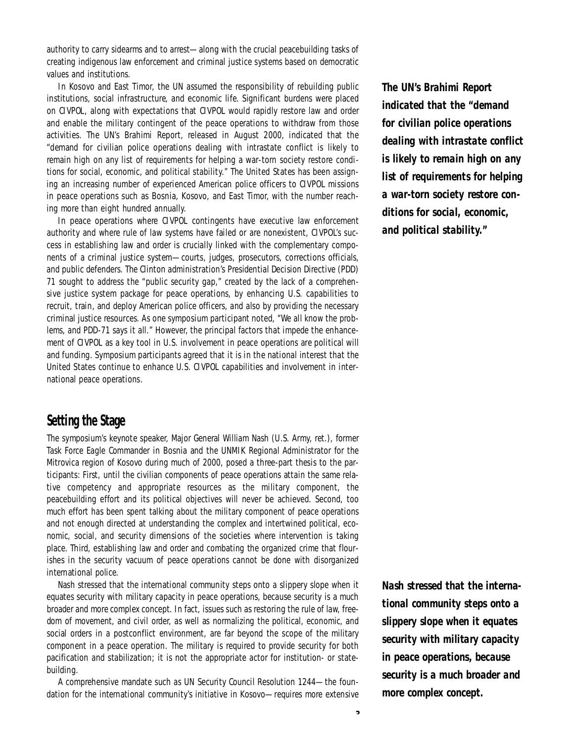authority to carry sidearms and to arrest—along with the crucial peacebuilding tasks of creating indigenous law enforcement and criminal justice systems based on democratic values and institutions.

In Kosovo and East Timor, the UN assumed the responsibility of rebuilding public institutions, social infrastructure, and economic life. Significant burdens were placed on CIVPOL, along with expectations that CIVPOL would rapidly restore law and order and enable the military contingent of the peace operations to withdraw from those activities. The UN's Brahimi Report, released in August 2000, indicated that the " demand for civilian police operations dealing with intrastate conflict is likely to remain high on any list of requirements for helping a war-torn society restore conditions for social, economic, and political stability." The United States has been assigning an increasing number of experienced American police officers to CIVPOL missions in peace operations such as Bosnia, Kosovo, and East Timor, with the number reaching more than eight hundred annually.

In peace operations where CIVPOL contingents have executive law enforcement authority and where rule of law systems have failed or are nonexistent, CIVPOL's success in establishing law and order is crucially linked with the complementary components of a criminal justice system—courts, judges, prosecutors, corrections officials, and public defenders. The Clinton administration's Presidential Decision Directive (PDD) 71 sought to address the "public security gap," created by the lack of a comprehensive justice system package for peace operations, by enhancing U.S. capabilities to recruit, train, and deploy American police officers, and also by providing the necessary criminal justice resources. As one symposium participant noted, "We all know the problems, and PDD-71 says it all." However, the principal factors that impede the enhancement of CIVPOL as a key tool in U.S. involvement in peace operations are political will and funding. Symposium participants agreed that it is in the national interest that the United States continue to enhance U.S. CIVPOL capabilities and involvement in international peace operations.

# **Setting the Stage**

The symposium's keynote speaker, Major General William Nash (U.S. Army, ret.), former Task Force Eagle Commander in Bosnia and the UNMIK Regional Administrator for the Mitrovica region of Kosovo during much of 2000, posed a three-part thesis to the participants: First, until the civilian components of peace operations attain the same relative competency and appropriate resources as the military component, the peacebuilding effort and its political objectives will never be achieved. Second, too much effort has been spent talking about the military component of peace operations and not enough directed at understanding the complex and intertwined political, economic, social, and security dimensions of the societies where intervention is taking place. Third, establishing law and order and combating the organized crime that flourishes in the security vacuum of peace operations cannot be done with disorganized international police.

Nash stressed that the international community steps onto a slippery slope when it equates security with military capacity in peace operations, because security is a much broader and more complex concept. In fact, issues such as restoring the rule of law, freedom of movement, and civil order, as well as normalizing the political, economic, and social orders in a postconflict environment, are far beyond the scope of the military component in a peace operation. The military is required to provide security for both pacification and stabilization; it is not the appropriate actor for institution- or statebuilding.

A comprehensive mandate such as UN Security Council Resolution 1244—the foundation for the international community's initiative in Kosovo—requires more extensive *The UN's Brahimi Report indicated that the "demand for civilian police operations dealing with intrastate conflict is likely to remain high on any list of requirements for helping* a war-torn society restore con*ditions for social, economic, and political stability."* 

*Nash stressed that the international community steps onto a slippery slope when it equates security with military capacity in peace operations, because security is a much broader and more complex concept.*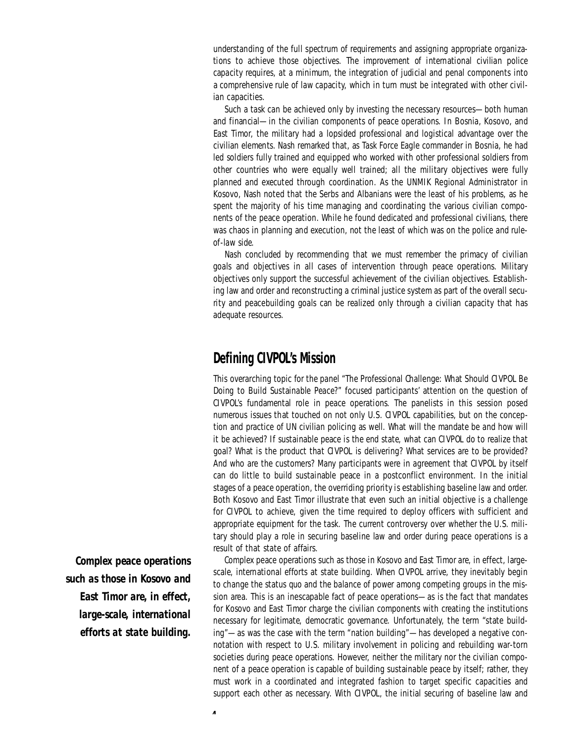understanding of the full spectrum of requirements and assigning appropriate organizations to achieve those objectives. The improvement of international civilian police capacity requires, at a minimum, the integration of judicial and penal components into a comprehensive rule of law capacity, which in turn must be integrated with other civilian capacities.

Such a task can be achieved only by investing the necessary resources—both human and financial—in the civilian components of peace operations. In Bosnia, Kosovo, and East Timor, the military had a lopsided professional and logistical advantage over the civilian elements. Nash remarked that, as Task Force Eagle commander in Bosnia, he had led soldiers fully trained and equipped who worked with other professional soldiers from other countries who were equally well trained; all the military objectives were fully planned and executed through coordination. As the UNMIK Regional Administrator in Kosovo, Nash noted that the Serbs and Albanians were the least of his problems, as he spent the majority of his time managing and coordinating the various civilian components of the peace operation. While he found dedicated and professional civilians, there was chaos in planning and execution, not the least of which was on the police and ruleof-law side.

Nash concluded by recommending that we must remember the primacy of civilian goals and objectives in all cases of intervention through peace operations. Military objectives only support the successful achievement of the civilian objectives. Establishing law and order and reconstructing a criminal justice system as part of the overall security and peacebuilding goals can be realized only through a civilian capacity that has a dequate resources.

# **Defining CIVPOL's Mission**

This overarching topic for the panel "The Professional Challenge: What Should CIVPOL Be Doing to Build Sustainable Peace?" focused participants' attention on the question of CIVPOL's fundamental role in peace operations. The panelists in this session posed numerous issues that touched on not only U.S. CIVPOL capabilities, but on the conception and practice of UN civilian policing as well. What will the mandate be and how will it be achieved? If sustainable peace is the end state, what can CIVPOL do to realize that goal? What is the product that CIVPOL is delivering? What services are to be provided? And who are the customers? Many participants were in agreement that CIVPOL by itself can do little to build sustainable peace in a postconflict environment. In the initial stages of a peace operation, the overriding priority is establishing baseline law and order. Both Kosovo and East Timor illustrate that even such an initial objective is a challenge for CIVPOL to achieve, given the time required to deploy officers with sufficient and appropriate equipment for the task. The current controversy over whether the U.S. military should play a role in securing baseline law and order during peace operations is a result of that state of affairs.

Complex peace operations such as those in Kosovo and East Timor are, in effect, largescale, international efforts at state building. When CIVPOL arrive, they inevitably begin to change the status quo and the balance of power among competing groups in the mission area. This is an inescapable fact of peace operations—as is the fact that mandates for Kosovo and East Timor charge the civilian components with creating the institutions necessary for legitimate, democratic governance. Unfortunately, the term "state building"—as was the case with the term "nation building"—has developed a negative connotation with respect to U.S. military involvement in policing and rebuilding war-torn societies during peace operations. However, neither the military nor the civilian component of a peace operation is capable of building sustainable peace by itself; rather, they must work in a coordinated and integrated fashion to target specific capacities and support each other as necessary. With CIVPOL, the initial securing of baseline law and

*Complex peace operations* such as those in Kosovo and *East Timor are, in effect, large-scale, international e f forts at state building.*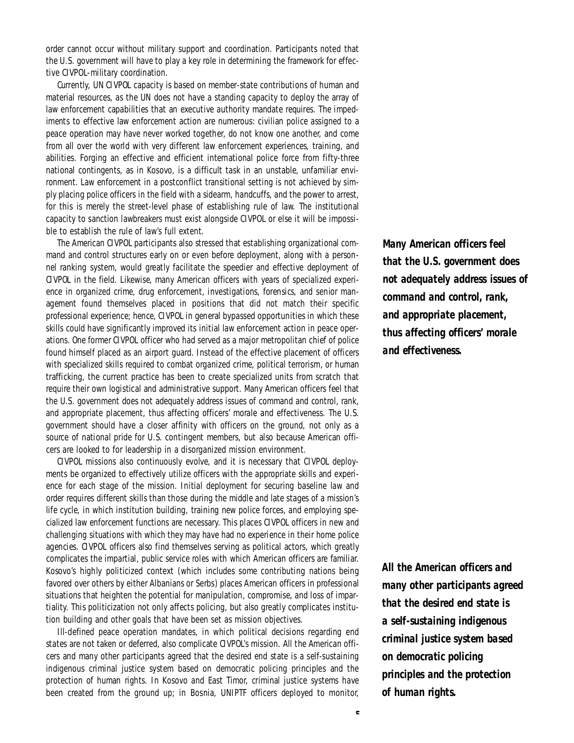order cannot occur without military support and coordination. Participants noted that the U.S. government will have to play a key role in determining the framework for effective CIVPOL-military coordination.

Currently, UN CIVPOL capacity is based on member-state contributions of human and material resources, as the UN does not have a standing capacity to deploy the array of law enforcement capabilities that an executive authority mandate requires. The impediments to effective law enforcement action are numerous: civilian police assigned to a peace operation may have never worked together, do not know one another, and come from all over the world with very different law enforcement experiences, training, and abilities. Forging an effective and efficient international police force from fifty-three national contingents, as in Kosovo, is a difficult task in an unstable, unfamiliar environment. Law enforcement in a postconflict transitional setting is not achieved by simply placing police officers in the field with a sidearm, handcuffs, and the power to arrest, for this is merely the street-level phase of establishing rule of law. The institutional capacity to sanction lawbreakers must exist alongside CIVPOL or else it will be impossible to establish the rule of law's full extent.

The American CIVPOL participants also stressed that establishing organizational command and control structures early on or even before deployment, along with a personnel ranking system, would greatly facilitate the speedier and effective deployment of CIVPOL in the field. Likewise, many American officers with years of specialized experience in organized crime, drug enforcement, investigations, forensics, and senior management found themselves placed in positions that did not match their specific professional experience; hence, CIVPOL in general bypassed opportunities in which these skills could have significantly improved its initial law enforcement action in peace operations. One former CIVPOL officer who had served as a major metropolitan chief of police found himself placed as an airport guard. Instead of the effective placement of officers with specialized skills required to combat organized crime, political terrorism, or human trafficking, the current practice has been to create specialized units from scratch that require their own logistical and administrative support. Many American officers feel that the U.S. government does not adequately address issues of command and control, rank, and appropriate placement, thus affecting officers' morale and effectiveness. The U.S. government should have a closer affinity with officers on the ground, not only as a source of national pride for U.S. contingent members, but also because American officers are looked to for leadership in a disorganized mission environment.

CIVPOL missions also continuously evolve, and it is necessary that CIVPOL deployments be organized to effectively utilize officers with the appropriate skills and experience for each stage of the mission. Initial deployment for securing baseline law and order requires different skills than those during the middle and late stages of a mission's life cycle, in which institution building, training new police forces, and employing specialized law enforcement functions are necessary. This places CIVPOL officers in new and challenging situations with which they may have had no experience in their home police agencies. CIVPOL officers also find themselves serving as political actors, which greatly complicates the impartial, public service roles with which American officers are familiar. Kosovo's highly politicized context (which includes some contributing nations being favored over others by either Albanians or Serbs) places American officers in professional situations that heighten the potential for manipulation, compromise, and loss of impartiality. This politicization not only affects policing, but also greatly complicates institution building and other goals that have been set as mission objectives.

III-defined peace operation mandates, in which political decisions regarding end states are not taken or deferred, also complicate CIVPOL's mission. All the American officers and many other participants agreed that the desired end state is a self-sustaining indigenous criminal justice system based on democratic policing principles and the protection of human rights. In Kosovo and East Timor, criminal justice systems have been created from the ground up; in Bosnia, UNIPTF officers deployed to monitor, *M a ny American officers feel that the U.S. government does not adequately address issues of command and control, rank, and appropriate placement, thus affecting officers' morale* and effectiveness.

*All the American officers and many other participants agreed that the desired end state is a self-sustaining indigenous criminal justice system based on democratic policing principles and the protection of human rights.*

**5**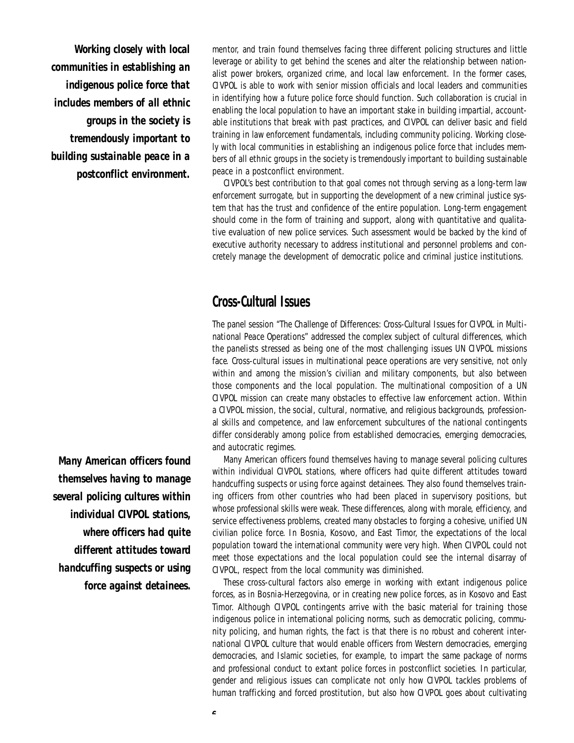*Working closely with local communities in establishing an indigenous police force that includes members of all ethnic g roups in the society is t remendously important to building sustainable peace in a p o s tconflict environment.* 

*Many American officers found themselves having to manage s eve ral policing cultures within individual CIVPOL stations, w h e re officers had quite*   $d$ *ifferent attitudes toward handcuffing suspects or using force against detainees.* 

mentor, and train found themselves facing three different policing structures and little leverage or ability to get behind the scenes and alter the relationship between nationalist power brokers, organized crime, and local law enforcement. In the former cases, CIVPOL is able to work with senior mission officials and local leaders and communities in identifying how a future police force should function. Such collaboration is crucial in enabling the local population to have an important stake in building impartial, accountable institutions that break with past practices, and CIVPOL can deliver basic and field training in law enforcement fundamentals, including community policing. Working closely with local communities in establishing an indigenous police force that includes members of all ethnic groups in the society is tremendously important to building sustainable peace in a postconflict environment.

CIVPOL's best contribution to that goal comes not through serving as a long-term law enforcement surrogate, but in supporting the development of a new criminal justice system that has the trust and confidence of the entire population. Long-term engagement should come in the form of training and support, along with quantitative and qualitative evaluation of new police services. Such assessment would be backed by the kind of executive authority necessary to address institutional and personnel problems and concretely manage the development of democratic police and criminal justice institutions.

# **Cross-Cultural Issues**

The panel session "The Challenge of Differences: Cross-Cultural Issues for CIVPOL in Multinational Peace Operations" addressed the complex subject of cultural differences, which the panelists stressed as being one of the most challenging issues UN CIVPOL missions face. Cross-cultural issues in multinational peace operations are very sensitive, not only within and among the mission's civilian and military components, but also between those components and the local population. The multinational composition of a UN CIVPOL mission can create many obstacles to effective law enforcement action. Within a CIVPOL mission, the social, cultural, normative, and religious backgrounds, professional skills and competence, and law enforcement subcultures of the national contingents differ considerably among police from established de mocracies, emerging de mocracies, and autocratic regimes.

Many American officers found themselves having to manage several policing cultures within individual CIVPOL stations, where officers had quite different attitudes toward handcuffing suspects or using force against detainees. They also found themselves training officers from other countries who had been placed in supervisory positions, but whose professional skills were weak. These differences, along with morale, efficiency, and service effectiveness problems, created many obstacles to forging a cohesive, unified UN civilian police force. In Bosnia, Kosovo, and East Timor, the expectations of the local population toward the international community were very high. When CIVPOL could not meet those expectations and the local population could see the internal disarray of CIVPOL, respect from the local community was diminished.

These cross-cultural factors also emerge in working with extant indigenous police forces, as in Bosnia-Herzegovina, or in creating new police forces, as in Kosovo and East Timor. Although CIVPOL contingents arrive with the basic material for training those indigenous police in international policing norms, such as democratic policing, community policing, and human rights, the fact is that there is no robust and coherent international CIVPOL culture that would enable officers from Western democracies, emerging de mo cracies, and Islamic societies, for example, to impart the same package of norms and professional conduct to extant police forces in postconflict societies. In particular, gender and religious issues can complicate not only how CIVPOL tackles problems of human trafficking and forced prostitution, but also how CIVPOL goes about cultivating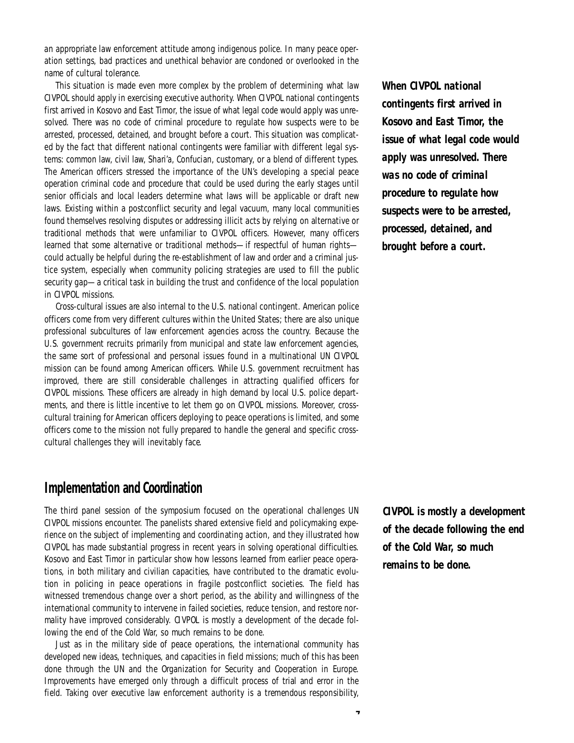an appropriate law enforcement attitude among indigenous police. In many peace operation settings, bad practices and unethical behavior are condoned or overlooked in the name of cultural tolerance.

This situation is made even more complex by the problem of determining what law CIVPOL should apply in exercising executive authority. When CIVPOL national contingents first arrived in Kosovo and East Timor, the issue of what legal code would apply was unresolved. There was no code of criminal procedure to regulate how suspects were to be arrested, processed, detained, and brought before a court. This situation was complicated by the fact that different national contingents were familiar with different legal systems: common law, civil law, Shari'a, Confucian, customary, or a blend of different types. The American officers stressed the importance of the UN's developing a special peace operation criminal code and procedure that could be used during the early stages until senior officials and local leaders determine what laws will be applicable or draft new laws. Existing within a postconflict security and legal vacuum, many local communities found themselves resolving disputes or addressing illicit acts by relying on alternative or traditional methods that were unfamiliar to CIVPOL officers. However, many officers learned that some alternative or traditional methods—if respectful of human rights could actually be helpful during the re-establishment of law and order and a criminal justice system, especially when community policing strategies are used to fill the public security gap—a critical task in building the trust and confidence of the local population in CIVPOL missions.

Cross-cultural issues are also internal to the U.S. national contingent. American police officers come from very different cultures within the United States; there are also unique professional subcultures of law enforcement agencies across the country. Because the U.S. government recruits primarily from municipal and state law enforcement agencies, the same sort of professional and personal issues found in a multinational UN CIVPOL mission can be found among American officers. While U.S. government recruitment has improved, there are still considerable challenges in attracting qualified officers for CIVPOL missions. These officers are already in high demand by local U.S. police departments, and there is little incentive to let them go on CIVPOL missions. Moreover, crosscultural training for American officers deploying to peace operations is limited, and some officers come to the mission not fully prepared to handle the general and specific crosscultural challenges they will inevitably face.

## **Implementation and Coordination**

The third panel session of the symposium focused on the operational challenges UN CIVPOL missions encounter. The panelists shared extensive field and policymaking experience on the subject of implementing and coordinating action, and they illustrated how CIVPOL has made substantial progress in recent years in solving operational difficulties. Kosovo and East Timor in particular show how lessons learned from earlier peace operations, in both military and civilian capacities, have contributed to the dramatic evolution in policing in peace operations in fragile postconflict societies. The field has witnessed tremendous change over a short period, as the ability and willingness of the international community to intervene in failed societies, reduce tension, and restore normality have improved considerably. CIVPOL is mostly a development of the decade following the end of the Cold War, so much remains to be done.

Just as in the military side of peace operations, the international community has developed new ideas, techniques, and capacities in field missions; much of this has been done through the UN and the Organization for Security and Cooperation in Europe. Improvements have emerged only through a difficult process of trial and error in the field. Taking over executive law enforcement authority is a tremendous responsibility,

*When CIVPOL national contingents first arrived in Ko s ovo and East Timor, the issue of what legal code would* apply was unresolved. There *was no code of criminal procedure to regulate how* suspects were to be arrested, *p rocessed, detained, and brought before a court.* 

*CIVPOL is mostly a development of the decade following the end* of the Cold War, so much *remains to be done.* 

**7**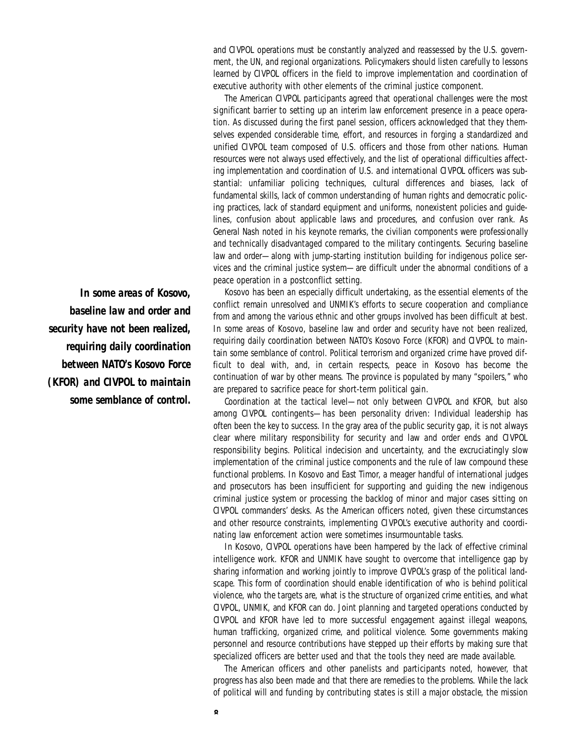and CIVPOL operations must be constantly analyzed and reassessed by the U.S. government, the UN, and regional organizations. Policymakers should listen carefully to lessons learned by CIVPOL officers in the field to improve implementation and coordination of executive authority with other elements of the criminal justice component.

The American CIVPOL participants agreed that operational challenges were the most significant barrier to setting up an interim law enforcement presence in a peace operation. As discussed during the first panel session, officers acknowledged that they themselves expended considerable time, effort, and resources in forging a standardized and unified CIVPOL team composed of U.S. officers and those from other nations. Human resources were not always used effectively, and the list of operational difficulties affecting implementation and coordination of U.S. and international CIVPOL officers was substantial: unfamiliar policing techniques, cultural differences and biases, lack of fundamental skills, lack of common understanding of human rights and democratic policing practices, lack of standard equipment and uniforms, nonexistent policies and quidelines, confusion about applicable laws and procedures, and confusion over rank. As General Nash noted in his keynote remarks, the civilian components were professionally and technically disadvantaged compared to the military contingents. Securing baseline law and order—along with jump-starting institution building for indigenous police services and the criminal justice system—are difficult under the abnormal conditions of a peace operation in a postconflict setting.

Kosovo has been an especially difficult undertaking, as the essential elements of the conflict remain unresolved and UNMIK's efforts to secure cooperation and compliance from and among the various ethnic and other groups involved has been difficult at best. In some areas of Kosovo, baseline law and order and security have not been realized, requiring daily coordination between NATO's Kosovo Force (KFOR) and CIVPOL to maintain some semblance of control. Political terrorism and organized crime have proved difficult to deal with, and, in certain respects, peace in Kosovo has become the continuation of war by other means. The province is populated by many "spoilers," who are prepared to sacrifice peace for short-term political gain.

Coordination at the tactical level—not only between CIVPOL and KFOR, but also among CIVPOL contingents—has been personality driven: Individual leadership has often been the key to success. In the gray area of the public security gap, it is not always clear where military responsibility for security and law and order ends and CIVPOL re sponsibility begins. Political indecision and uncertainty, and the excruciatingly slow implementation of the criminal justice components and the rule of law compound these functional problems. In Kosovo and East Timor, a meager handful of international judges and prosecutors has been insufficient for supporting and guiding the new indigenous criminal justice system or processing the backlog of minor and major cases sitting on CIVPOL commanders' desks. As the American officers noted, given these circumstances and other resource constraints, implementing CIVPOL's executive authority and coordinating law enforcement action were sometimes insurmountable tasks.

In Kosovo, CIVPOL operations have been hampered by the lack of effective criminal intelligence work. KFOR and UNMIK have sought to overcome that intelligence gap by sharing information and working jointly to improve CIVPOL's grasp of the political landscape. This form of coordination should enable identification of who is behind political violence, who the targets are, what is the structure of organized crime entities, and what CIVPOL, UNMIK, and KFOR can do. Joint planning and targeted operations conducted by CIVPOL and KFOR have led to more successful engagement against illegal weapons, human trafficking, organized crime, and political violence. Some governments making personnel and resource contributions have stepped up their efforts by making sure that specialized officers are better used and that the tools they need are made available.

The American officers and other panelists and participants noted, however, that progress has also been made and that there are remedies to the problems. While the lack of political will and funding by contributing states is still a major obstacle, the mission

In some areas of Kosovo, *baseline law and order and security have not been realized, requiring daily coordination between NATO's Kosovo Force (KFOR) and CIVPOL to maintain some semblance of control.*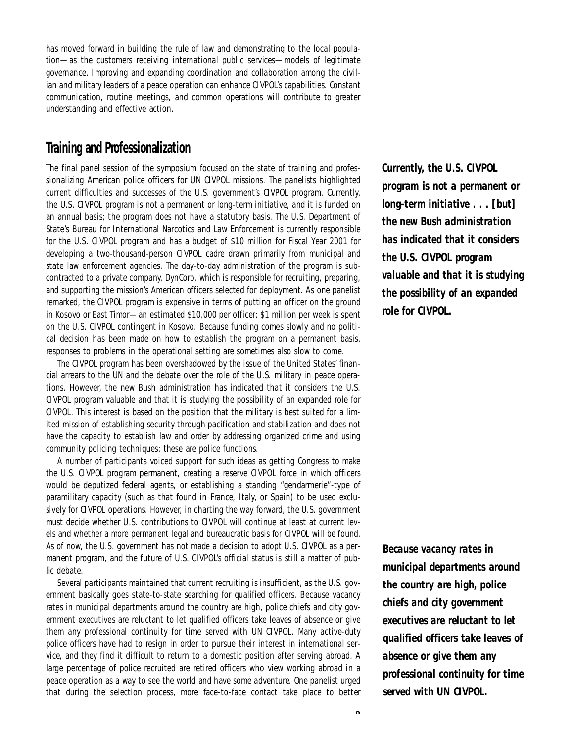has moved forward in building the rule of law and demonstrating to the local population—as the customers receiving international public services—models of legitimate governance. Improving and expanding coordination and collaboration among the civilian and military leaders of a peace operation can enhance CIVPOL's capabilities. Constant communication, routine meetings, and common operations will contribute to greater understanding and effective action.

# **Training and Professionalization**

The final panel session of the symposium focused on the state of training and professionalizing American police officers for UN CIVPOL missions. The panelists highlighted current difficulties and successes of the U.S. government's CIVPOL program. Currently, the U.S. CIVPOL program is not a permanent or long-term initiative, and it is funded on an annual basis; the program does not have a statutory basis. The U.S. Department of State's Bureau for International Narcotics and Law Enforcement is currently responsible for the U.S. CIVPOL program and has a budget of \$10 million for Fiscal Year 2001 for developing a two-thousand-person CIVPOL cadre drawn primarily from municipal and state law enforcement agencies. The day-to-day administration of the program is subcontracted to a private company, DynCorp, which is responsible for recruiting, preparing, and supporting the mission's American officers selected for deployment. As one panelist remarked, the CIVPOL program is expensive in terms of putting an officer on the ground in Kosovo or East Timor—an estimated \$10,000 per officer; \$1 million per week is spent on the U.S. CIVPOL contingent in Kosovo. Because funding comes slowly and no political decision has been made on how to establish the program on a permanent basis, responses to problems in the operational setting are sometimes also slow to come.

The CIVPOL program has been overshadowed by the issue of the United States' financial arrears to the UN and the debate over the role of the U.S. military in peace operations. However, the new Bush administration has indicated that it considers the U.S. CIVPOL program valuable and that it is studying the possibility of an expanded role for CIVPOL. This interest is based on the position that the military is best suited for a limited mission of establishing security through pacification and stabilization and does not have the capacity to establish law and order by addressing organized crime and using community policing techniques; these are police functions.

A number of participants voiced support for such ideas as getting Congress to make the U.S. CIVPOL program permanent, creating a reserve CIVPOL force in which officers would be deputized federal agents, or establishing a standing "gendarmerie"-type of paramilitary capacity (such as that found in France, Italy, or Spain) to be used exclusively for CIVPOL operations. However, in charting the way forward, the U.S. government must decide whether U.S. contributions to CIVPOL will continue at least at current levels and whether a more permanent legal and bureaucratic basis for CIVPOL will be found. As of now, the U.S. government has not made a decision to adopt U.S. CIVPOL as a permanent program, and the future of U.S. CIVPOL's official status is still a matter of public debate.

Several participants maintained that current recruiting is insufficient, as the U.S. government basically goes state-to-state searching for qualified officers. Because vacancy rates in municipal departments around the country are high, police chiefs and city government executives are reluctant to let qualified officers take leaves of absence or give them any professional continuity for time served with UN CIVPOL. Many active-duty police officers have had to resign in order to pursue their interest in international service, and they find it difficult to return to a domestic position after serving abroad. A large percentage of police recruited are retired officers who view working abroad in a peace operation as a way to see the world and have some adventure. One panelist urged that during the selection process, more face-to-face contact take place to better

*Currently, the U.S. CIVPOL program is not a permanent or long-term initiative . . . [but]* **the new Bush administration** *has indicated that it considers the U.S. CIVPOL program valuable and that it is studying the possibility of an expanded role for CIVPOL.* 

*Because vacancy rates in municipal departments around the country are high, police chiefs and city government executives are reluctant to let qualified officers take leaves of absence or give them any p rofessional continuity for time* served with UN CIVPOL.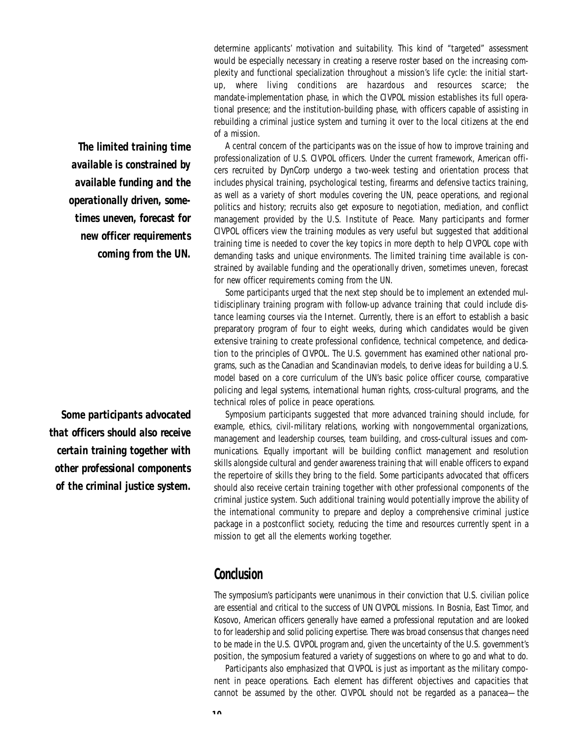determine applicants' motivation and suitability. This kind of "targeted" assessment would be especially necessary in creating a reserve roster based on the increasing complexity and functional specialization throughout a mission's life cycle: the initial startup, where living conditions are hazardous and resources scarce; the mandate-implementation phase, in which the CIVPOL mission establishes its full operational presence; and the institution-building phase, with officers capable of assisting in rebuilding a criminal justice system and turning it over to the local citizens at the end of a mission.

A central concern of the participants was on the issue of how to improve training and professionalization of U.S. CIVPOL officers. Under the current framework, American officers recruited by DynCorp undergo a two-week testing and orientation process that includes physical training, psychological testing, firearms and defensive tactics training, as well as a variety of short modules covering the UN, peace operations, and regional politics and history; recruits also get exposure to negotiation, mediation, and conflict management provided by the U.S. Institute of Peace. Many participants and former CIVPOL officers view the training modules as very useful but suggested that additional training time is needed to cover the key topics in more depth to help CIVPOL cope with demanding tasks and unique environments. The limited training time available is constrained by available funding and the operationally driven, sometimes uneven, forecast for new officer requirements coming from the UN.

Some participants urged that the next step should be to implement an extended multidisciplinary training program with follow-up advance training that could include distance learning courses via the Internet. Currently, there is an effort to establish a basic preparatory program of four to eight weeks, during which candidates would be given extensive training to create professional confidence, technical competence, and dedication to the principles of CIVPOL. The U.S. government has examined other national programs, such as the Canadian and Scandinavian models, to derive ideas for building a U.S. model based on a core curriculum of the UN's basic police officer course, comparative policing and legal systems, international human rights, cross-cultural programs, and the technical roles of police in peace operations.

Symposium participants suggested that more advanced training should include, for example, ethics, civil-military relations, working with nongovernmental organizations, management and leadership courses, team building, and cross-cultural issues and communications. Equally important will be building conflict management and resolution skills alongside cultural and gender awareness training that will enable officers to expand the repertoire of skills they bring to the field. Some participants advocated that officers should also receive certain training together with other professional components of the criminal justice system. Such additional training would potentially improve the ability of the international community to prepare and deploy a comprehensive criminal justice package in a postconflict society, reducing the time and resources currently spent in a mission to get all the elements working together.

## **Conclusion**

The symposium's participants were unanimous in their conviction that U.S. civilian police are essential and critical to the success of UN CIVPOL missions. In Bosnia, East Timor, and Kosovo, American officers generally have earned a professional reputation and are looked to for leadership and solid policing expertise. There was broad consensus that changes need to be made in the U.S. CIVPOL program and, given the uncertainty of the U.S. government's position, the symposium featured a variety of suggestions on where to go and what to do.

Participants also emphasized that CIVPOL is just as important as the military component in peace operations. Each element has different objectives and capacities that cannot be assumed by the other. CIVPOL should not be regarded as a panacea—the

*The limited training time a vailable is constrained by a vailable funding and the o p e rationally driven, sometimes uneven, forecast for new officer requirements coming from the UN.*

Some participants advocated *that officers should also receive c e r tain training together with other professional components of the criminal justice system.*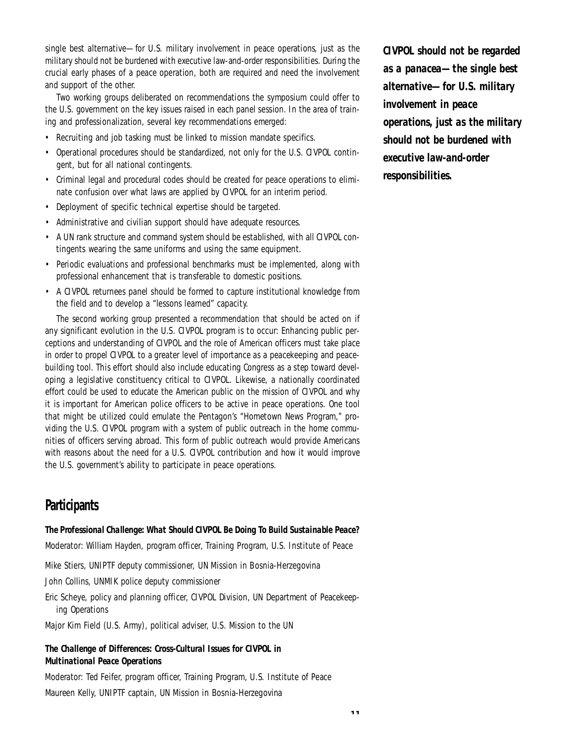single best alternative—for U.S. military involvement in peace operations, just as the military should not be burdened with executive law-and-order responsibilities. During the crucial early phases of a peace operation, both are required and need the involvement and support of the other.

Two working groups deliberated on recommendations the symposium could offer to the U.S. government on the key issues raised in each panel session. In the area of training and professionalization, several key recommendations emerged:

- Recruiting and job tasking must be linked to mission mandate specifics.
- Operational procedures should be standardized, not only for the U.S. CIVPOL contingent, but for all national contingents.
- Criminal legal and procedural codes should be created for peace operations to eliminate confusion over what laws are applied by CIVPOL for an interim period.
- Deployment of specific technical expertise should be targeted.
- Administrative and civilian support should have adequate resources.
- A UN rank structure and command system should be established, with all CIVPOL contingents wearing the same uniforms and using the same equipment.
- Periodic evaluations and professional benchmarks must be implemented, along with professional enhancement that is transferable to domestic positions.
- A CIVPOL returnees panel should be formed to capture institutional knowledge from the field and to develop a "lessons learned" capacity.

The second working group presented a recommendation that should be acted on if any significant evolution in the U.S. CIVPOL program is to occur: Enhancing public perceptions and understanding of CIVPOL and the role of American officers must take place in order to propel CIVPOL to a greater level of importance as a peacekeeping and peacebuilding tool. This effort should also include educating Congress as a step toward developing a legislative constituency critical to CIVPOL. Likewise, a nationally coordinated effort could be used to educate the American public on the mission of CIVPOL and why it is important for American police officers to be active in peace operations. One tool that might be utilized could emulate the Pentagon's "Hometown News Program," providing the U.S. CIVPOL program with a system of public outreach in the home communities of officers serving abroad. This form of public outreach would provide Americans with reasons about the need for a U.S. CIVPOL contribution and how it would improve the U.S. government's ability to participate in peace operations.

# **Participants**

#### The Professional Challenge: What Should CIVPOL Be Doing To Build Sustainable Peace?

Moderator: William Hayden, program officer, Training Program, U.S. Institute of Peace

Mike Stiers, UNIPTF deputy commissioner, UN Mission in Bosnia-Herzegovina

John Collins, UNMIK police deputy commissioner

Eric Scheye, policy and planning officer, CIVPOL Division, UN Department of Peacekeeping Operations

Major Kim Field (U.S. Army), political adviser, U.S. Mission to the UN

#### **The Challenge of Differences: Cross-Cultural Issues for CIVPOL in Multinational Peace Operations**

Moderator: Ted Feifer, program officer, Training Program, U.S. Institute of Peace Maureen Kelly, UNIPTF captain, UN Mission in Bosnia-Herzegovina

**CIVPOL should not be regarded** *as a panacea—the single best alternative—for U.S. military i n vo l vement in peace operations, just as the military should not be burdened with* executive law-and-order  $r$ *esponsibilities.*